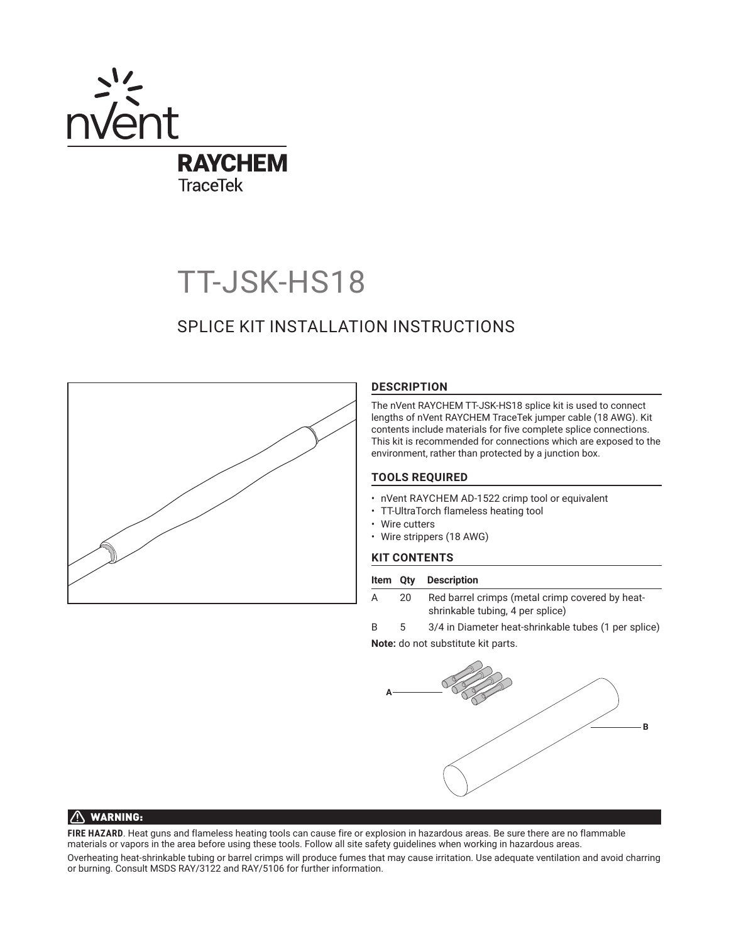

# TT-JSK-HS18

# SPLICE KIT INSTALLATION INSTRUCTIONS



# **DESCRIPTION**

The nVent RAYCHEM TT-JSK-HS18 splice kit is used to connect lengths of nVent RAYCHEM TraceTek jumper cable (18 AWG). Kit contents include materials for five complete splice connections. This kit is recommended for connections which are exposed to the environment, rather than protected by a junction box.

# **TOOLS REQUIRED**

- nVent RAYCHEM AD-1522 crimp tool or equivalent
- TT-UltraTorch flameless heating tool
- Wire cutters
- Wire strippers (18 AWG)

# **KIT CONTENTS**

#### **Item Qty Description**

- A 20 Red barrel crimps (metal crimp covered by heatshrinkable tubing, 4 per splice)
- B 5 3/4 in Diameter heat-shrinkable tubes (1 per splice)

**Note:** do not substitute kit parts.



# $\bigwedge$  WARNING:

**FIRE HAZARD**. Heat guns and flameless heating tools can cause fire or explosion in hazardous areas. Be sure there are no flammable materials or vapors in the area before using these tools. Follow all site safety guidelines when working in hazardous areas.

Overheating heat-shrinkable tubing or barrel crimps will produce fumes that may cause irritation. Use adequate ventilation and avoid charring or burning. Consult MSDS RAY/3122 and RAY/5106 for further information.